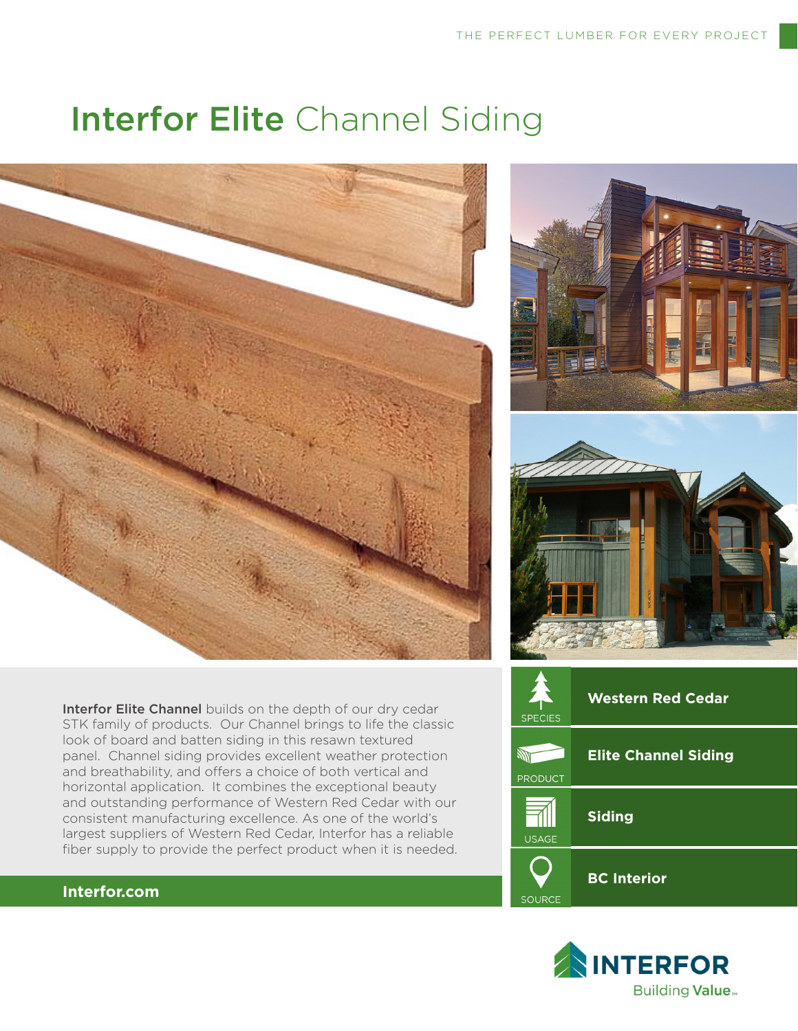# Interfor Elite Channel Siding



Interfor Elite Channel builds on the depth of our dry cedar STK family of products. Our Channel brings to life the classic look of board and batten siding in this resawn textured panel. Channel siding provides excellent weather protection and breathability, and offers a choice of both vertical and horizontal application. It combines the exceptional beauty and outstanding performance of Western Red Cedar with our consistent manufacturing excellence. As one of the world's largest suppliers of Western Red Cedar, Interfor has a reliable fiber supply to provide the perfect product when it is needed.







### **Interfor.com**